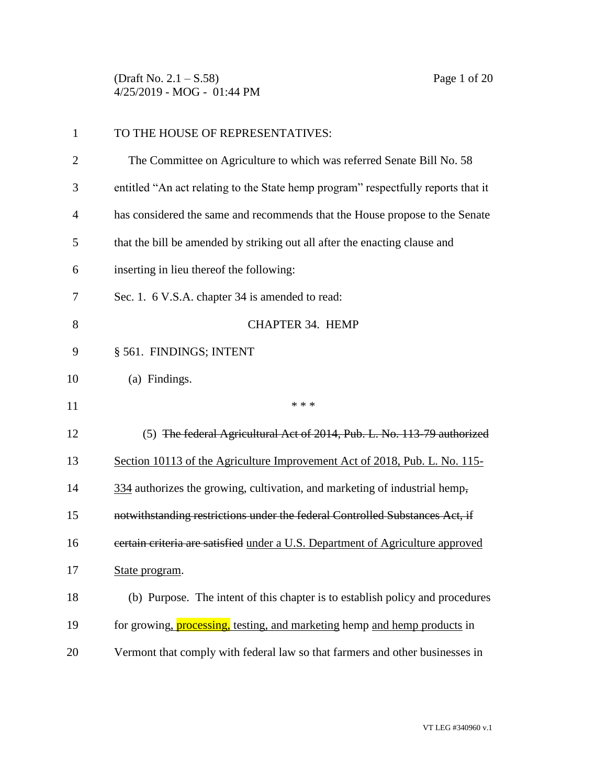(Draft No. 2.1 – S.58) Page 1 of 20 4/25/2019 - MOG - 01:44 PM

| $\mathbf{1}$   | TO THE HOUSE OF REPRESENTATIVES:                                                  |
|----------------|-----------------------------------------------------------------------------------|
| $\overline{2}$ | The Committee on Agriculture to which was referred Senate Bill No. 58             |
| 3              | entitled "An act relating to the State hemp program" respectfully reports that it |
| 4              | has considered the same and recommends that the House propose to the Senate       |
| 5              | that the bill be amended by striking out all after the enacting clause and        |
| 6              | inserting in lieu thereof the following:                                          |
| 7              | Sec. 1. 6 V.S.A. chapter 34 is amended to read:                                   |
| 8              | <b>CHAPTER 34. HEMP</b>                                                           |
| 9              | § 561. FINDINGS; INTENT                                                           |
| 10             | (a) Findings.                                                                     |
| 11             | * * *                                                                             |
| 12             | (5) The federal Agricultural Act of 2014, Pub. L. No. 113-79 authorized           |
| 13             | Section 10113 of the Agriculture Improvement Act of 2018, Pub. L. No. 115-        |
| 14             | 334 authorizes the growing, cultivation, and marketing of industrial hemp,        |
| 15             | notwithstanding restrictions under the federal Controlled Substances Act, if      |
| 16             | certain criteria are satisfied under a U.S. Department of Agriculture approved    |
| 17             | State program.                                                                    |
| 18             | (b) Purpose. The intent of this chapter is to establish policy and procedures     |
| 19             | for growing, <b>processing</b> , testing, and marketing hemp and hemp products in |
|                |                                                                                   |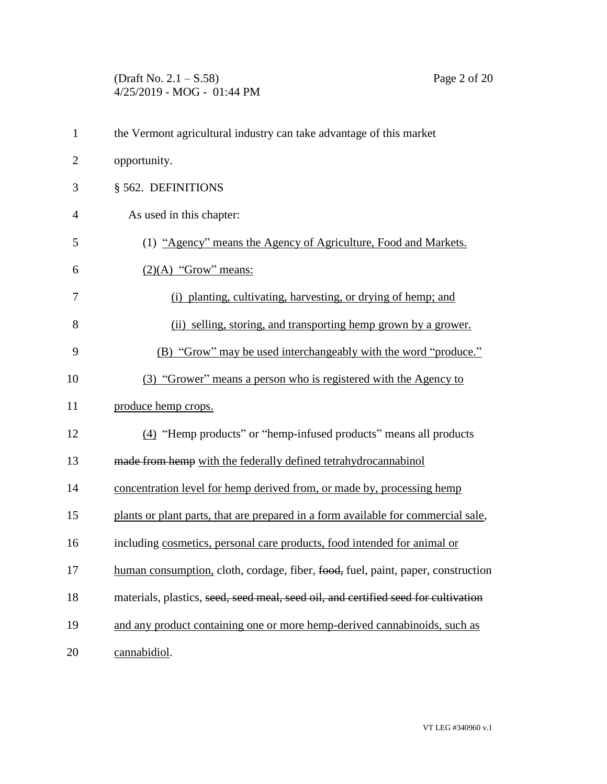## (Draft No. 2.1 – S.58) Page 2 of 20 4/25/2019 - MOG - 01:44 PM

| $\mathbf{1}$   | the Vermont agricultural industry can take advantage of this market                |
|----------------|------------------------------------------------------------------------------------|
| $\overline{2}$ | opportunity.                                                                       |
| 3              | § 562. DEFINITIONS                                                                 |
| 4              | As used in this chapter:                                                           |
| 5              | (1) "Agency" means the Agency of Agriculture, Food and Markets.                    |
| 6              | $(2)(A)$ "Grow" means:                                                             |
| 7              | (i) planting, cultivating, harvesting, or drying of hemp; and                      |
| 8              | (ii) selling, storing, and transporting hemp grown by a grower.                    |
| 9              | (B) "Grow" may be used interchangeably with the word "produce."                    |
| 10             | (3) "Grower" means a person who is registered with the Agency to                   |
| 11             | produce hemp crops.                                                                |
| 12             | (4) "Hemp products" or "hemp-infused products" means all products                  |
| 13             | made from hemp with the federally defined tetrahydrocannabinol                     |
| 14             | concentration level for hemp derived from, or made by, processing hemp             |
| 15             | plants or plant parts, that are prepared in a form available for commercial sale,  |
| 16             | including cosmetics, personal care products, food intended for animal or           |
| 17             | human consumption, cloth, cordage, fiber, food, fuel, paint, paper, construction   |
| 18             | materials, plastics, seed, seed meal, seed oil, and certified seed for cultivation |
| 19             | and any product containing one or more hemp-derived cannabinoids, such as          |
| 20             | cannabidiol.                                                                       |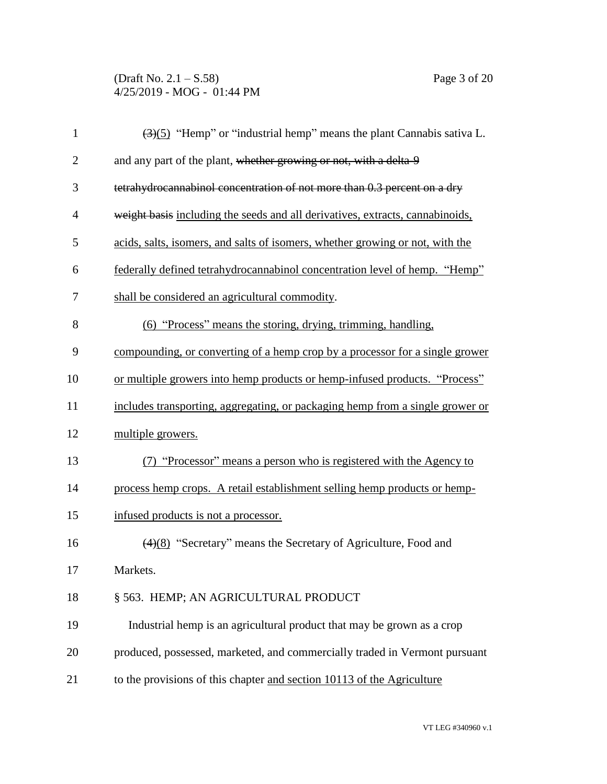## (Draft No. 2.1 – S.58) Page 3 of 20 4/25/2019 - MOG - 01:44 PM

| $\mathbf{1}$   | $\left(\frac{3}{5}\right)$ "Hemp" or "industrial hemp" means the plant Cannabis sativa L. |
|----------------|-------------------------------------------------------------------------------------------|
| $\overline{2}$ | and any part of the plant, whether growing or not, with a delta-9                         |
| 3              | tetrahydrocannabinol concentration of not more than 0.3 percent on a dry                  |
| $\overline{4}$ | weight basis including the seeds and all derivatives, extracts, cannabinoids,             |
| 5              | acids, salts, isomers, and salts of isomers, whether growing or not, with the             |
| 6              | federally defined tetrahydrocannabinol concentration level of hemp. "Hemp"                |
| 7              | shall be considered an agricultural commodity.                                            |
| 8              | (6) "Process" means the storing, drying, trimming, handling,                              |
| 9              | compounding, or converting of a hemp crop by a processor for a single grower              |
| 10             | or multiple growers into hemp products or hemp-infused products. "Process"                |
| 11             | includes transporting, aggregating, or packaging hemp from a single grower or             |
| 12             | multiple growers.                                                                         |
| 13             | (7) "Processor" means a person who is registered with the Agency to                       |
| 14             | process hemp crops. A retail establishment selling hemp products or hemp-                 |
| 15             | infused products is not a processor.                                                      |
| 16             | $\left(\frac{4}{8}\right)$ "Secretary" means the Secretary of Agriculture, Food and       |
| 17             | Markets.                                                                                  |
| 18             | § 563. HEMP; AN AGRICULTURAL PRODUCT                                                      |
| 19             | Industrial hemp is an agricultural product that may be grown as a crop                    |
| 20             | produced, possessed, marketed, and commercially traded in Vermont pursuant                |
| 21             | to the provisions of this chapter and section 10113 of the Agriculture                    |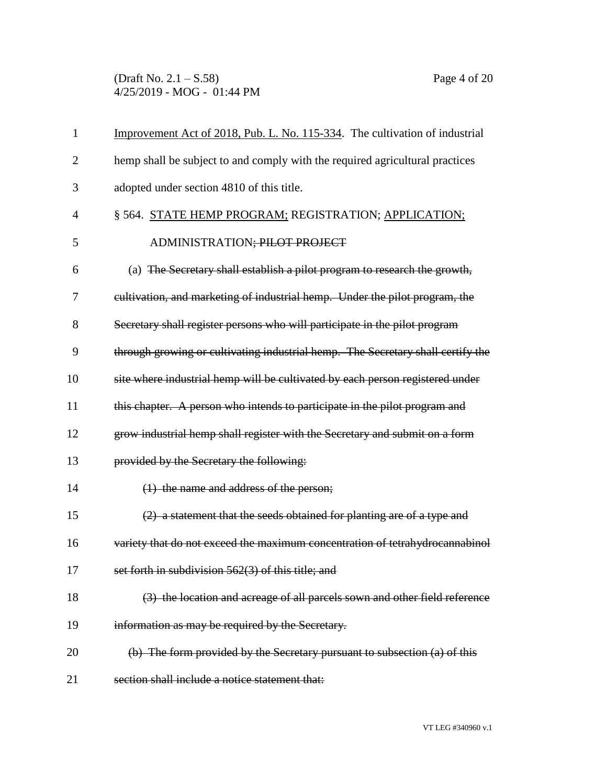(Draft No. 2.1 – S.58) Page 4 of 20 4/25/2019 - MOG - 01:44 PM

| $\mathbf{1}$ | Improvement Act of 2018, Pub. L. No. 115-334. The cultivation of industrial     |
|--------------|---------------------------------------------------------------------------------|
| 2            | hemp shall be subject to and comply with the required agricultural practices    |
| 3            | adopted under section 4810 of this title.                                       |
| 4            | § 564. STATE HEMP PROGRAM; REGISTRATION; APPLICATION;                           |
| 5            | ADMINISTRATION; PILOT PROJECT                                                   |
| 6            | (a) The Secretary shall establish a pilot program to research the growth,       |
| 7            | eultivation, and marketing of industrial hemp. Under the pilot program, the     |
| 8            | Secretary shall register persons who will participate in the pilot program      |
| 9            | through growing or cultivating industrial hemp. The Secretary shall certify the |
| 10           | site where industrial hemp will be cultivated by each person registered under   |
| 11           | this chapter. A person who intends to participate in the pilot program and      |
| 12           | grow industrial hemp shall register with the Secretary and submit on a form     |
| 13           | provided by the Secretary the following:                                        |
| 14           | $(1)$ the name and address of the person;                                       |
| 15           | (2) a statement that the seeds obtained for planting are of a type and          |
| 16           | variety that do not exceed the maximum concentration of tetrahydrocannabinol    |
| 17           | set forth in subdivision 562(3) of this title; and                              |
| 18           | (3) the location and acreage of all parcels sown and other field reference      |
| 19           | information as may be required by the Secretary.                                |
| 20           | (b) The form provided by the Secretary pursuant to subsection (a) of this       |
| 21           | section shall include a notice statement that:                                  |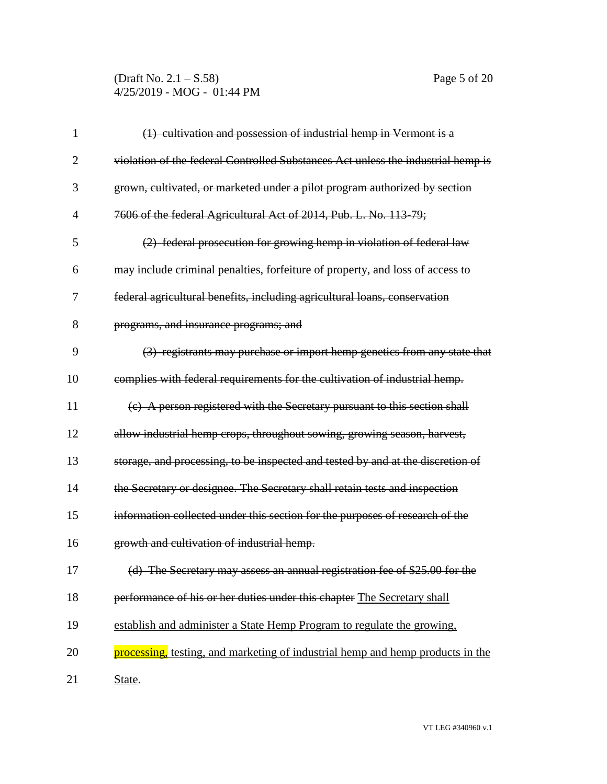## (Draft No. 2.1 – S.58) Page 5 of 20 4/25/2019 - MOG - 01:44 PM

| 1              | (1) cultivation and possession of industrial hemp in Vermont is a                |
|----------------|----------------------------------------------------------------------------------|
| $\overline{2}$ | violation of the federal Controlled Substances Act unless the industrial hemp is |
| 3              | grown, cultivated, or marketed under a pilot program authorized by section       |
| 4              | 7606 of the federal Agricultural Act of 2014, Pub. L. No. 113-79;                |
| 5              | (2) federal prosecution for growing hemp in violation of federal law             |
| 6              | may include criminal penalties, forfeiture of property, and loss of access to    |
| 7              | federal agricultural benefits, including agricultural loans, conservation        |
| 8              | programs, and insurance programs; and                                            |
| 9              | (3) registrants may purchase or import hemp genetics from any state that         |
| 10             | complies with federal requirements for the cultivation of industrial hemp.       |
| 11             | (c) A person registered with the Secretary pursuant to this section shall        |
| 12             | allow industrial hemp crops, throughout sowing, growing season, harvest,         |
| 13             | storage, and processing, to be inspected and tested by and at the discretion of  |
| 14             | the Secretary or designee. The Secretary shall retain tests and inspection       |
| 15             | information collected under this section for the purposes of research of the     |
| 16             | growth and cultivation of industrial hemp.                                       |
| 17             | (d) The Secretary may assess an annual registration fee of \$25.00 for the       |
| 18             | performance of his or her duties under this chapter The Secretary shall          |
| 19             | establish and administer a State Hemp Program to regulate the growing,           |
| 20             | processing, testing, and marketing of industrial hemp and hemp products in the   |
| 21             | State.                                                                           |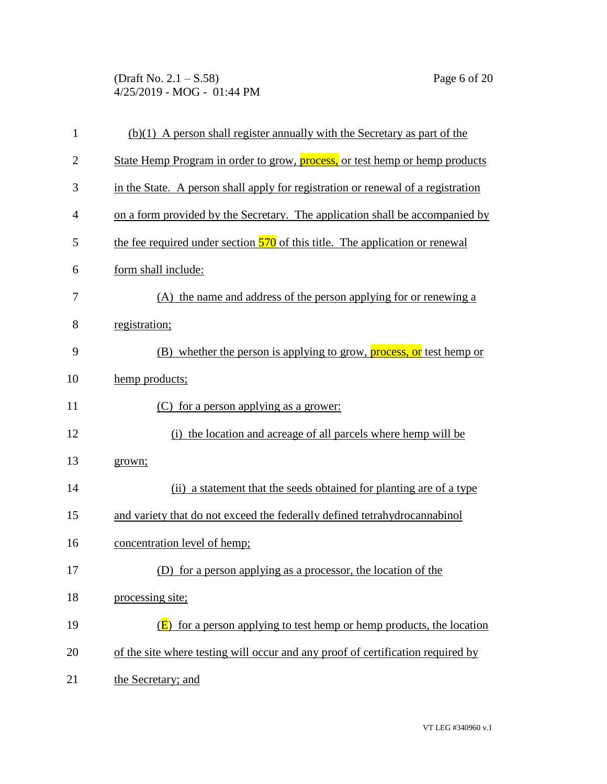(Draft No. 2.1 – S.58) Page 6 of 20 4/25/2019 - MOG - 01:44 PM

| $\mathbf{1}$   | $(b)(1)$ A person shall register annually with the Secretary as part of the         |
|----------------|-------------------------------------------------------------------------------------|
| $\overline{2}$ | State Hemp Program in order to grow, <b>process</b> , or test hemp or hemp products |
| 3              | in the State. A person shall apply for registration or renewal of a registration    |
| 4              | on a form provided by the Secretary. The application shall be accompanied by        |
| 5              | the fee required under section 570 of this title. The application or renewal        |
| 6              | form shall include:                                                                 |
| 7              | (A) the name and address of the person applying for or renewing a                   |
| 8              | registration;                                                                       |
| 9              | (B) whether the person is applying to grow, <b>process</b> , or test hemp or        |
| 10             | hemp products;                                                                      |
| 11             | (C) for a person applying as a grower:                                              |
| 12             | (i) the location and acreage of all parcels where hemp will be                      |
| 13             | grown;                                                                              |
| 14             | (ii) a statement that the seeds obtained for planting are of a type                 |
| 15             | and variety that do not exceed the federally defined tetrahydrocannabinol           |
| 16             | concentration level of hemp;                                                        |
| 17             | (D) for a person applying as a processor, the location of the                       |
| 18             | processing site;                                                                    |
| 19             | for a person applying to test hemp or hemp products, the location                   |
| 20             | of the site where testing will occur and any proof of certification required by     |
| 21             | the Secretary; and                                                                  |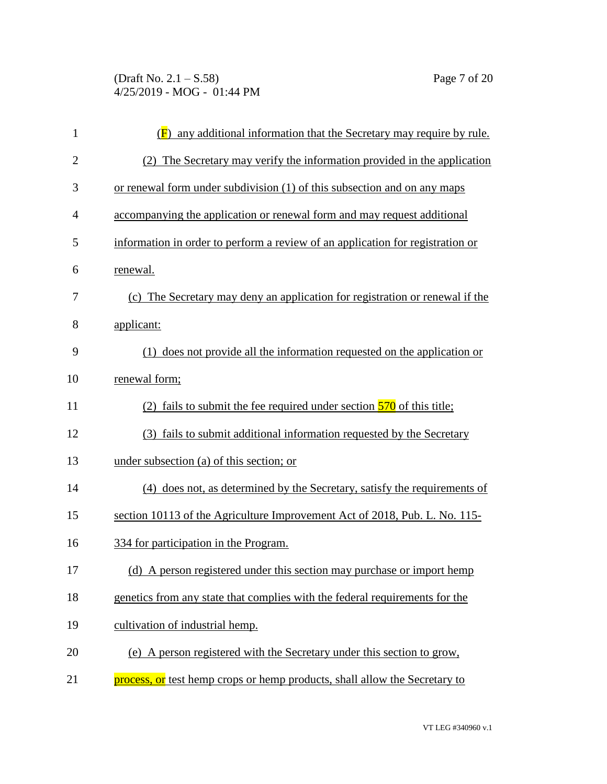(Draft No. 2.1 – S.58) Page 7 of 20 4/25/2019 - MOG - 01:44 PM

| $\mathbf{1}$   | $(\overline{F})$ any additional information that the Secretary may require by rule. |
|----------------|-------------------------------------------------------------------------------------|
| $\overline{2}$ | (2) The Secretary may verify the information provided in the application            |
| 3              | or renewal form under subdivision (1) of this subsection and on any maps            |
| 4              | accompanying the application or renewal form and may request additional             |
| 5              | information in order to perform a review of an application for registration or      |
| 6              | renewal.                                                                            |
| 7              | (c) The Secretary may deny an application for registration or renewal if the        |
| 8              | applicant:                                                                          |
| 9              | (1) does not provide all the information requested on the application or            |
| 10             | renewal form;                                                                       |
| 11             | (2) fails to submit the fee required under section $\frac{570}{9}$ of this title;   |
| 12             | (3) fails to submit additional information requested by the Secretary               |
| 13             | under subsection (a) of this section; or                                            |
| 14             | (4) does not, as determined by the Secretary, satisfy the requirements of           |
| 15             | section 10113 of the Agriculture Improvement Act of 2018, Pub. L. No. 115-          |
| 16             | 334 for participation in the Program.                                               |
| 17             | (d) A person registered under this section may purchase or import hemp              |
| 18             | genetics from any state that complies with the federal requirements for the         |
| 19             | cultivation of industrial hemp.                                                     |
| 20             | (e) A person registered with the Secretary under this section to grow,              |
| 21             | process, or test hemp crops or hemp products, shall allow the Secretary to          |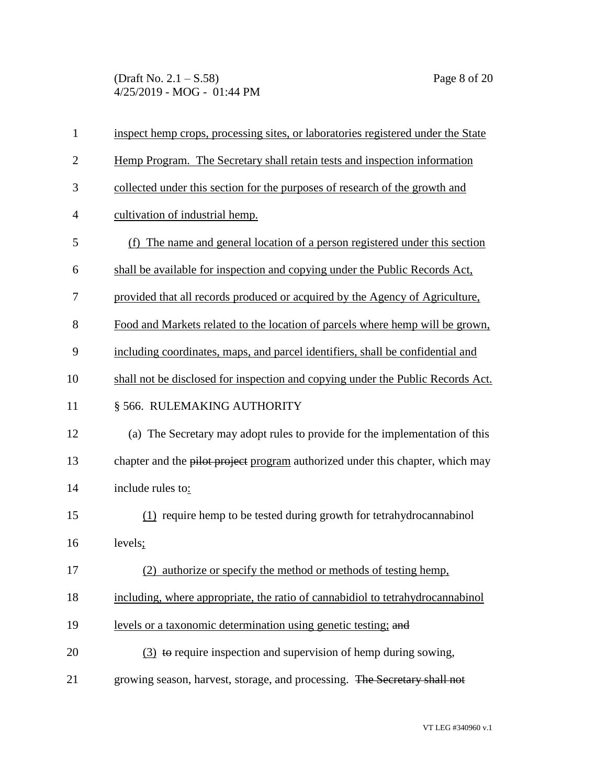(Draft No. 2.1 – S.58) Page 8 of 20 4/25/2019 - MOG - 01:44 PM

| $\mathbf{1}$   | inspect hemp crops, processing sites, or laboratories registered under the State |
|----------------|----------------------------------------------------------------------------------|
| $\overline{2}$ | Hemp Program. The Secretary shall retain tests and inspection information        |
| 3              | collected under this section for the purposes of research of the growth and      |
| $\overline{4}$ | cultivation of industrial hemp.                                                  |
| 5              | (f) The name and general location of a person registered under this section      |
| 6              | shall be available for inspection and copying under the Public Records Act.      |
| 7              | provided that all records produced or acquired by the Agency of Agriculture,     |
| 8              | Food and Markets related to the location of parcels where hemp will be grown,    |
| 9              | including coordinates, maps, and parcel identifiers, shall be confidential and   |
| 10             | shall not be disclosed for inspection and copying under the Public Records Act.  |
| 11             | § 566. RULEMAKING AUTHORITY                                                      |
| 12             | (a) The Secretary may adopt rules to provide for the implementation of this      |
| 13             | chapter and the pilot project program authorized under this chapter, which may   |
| 14             | include rules to:                                                                |
| 15             | (1) require hemp to be tested during growth for tetrahydrocannabinol             |
| 16             | levels;                                                                          |
| 17             | (2) authorize or specify the method or methods of testing hemp,                  |
| 18             | including, where appropriate, the ratio of cannabidiol to tetrahydrocannabinol   |
| 19             | levels or a taxonomic determination using genetic testing; and                   |
| 20             | $(3)$ to require inspection and supervision of hemp during sowing,               |
| 21             | growing season, harvest, storage, and processing. The Secretary shall not        |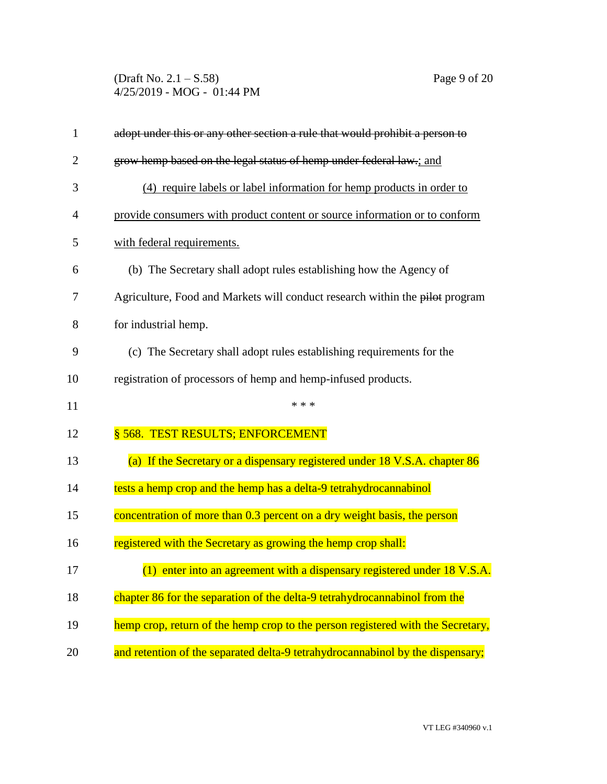(Draft No. 2.1 – S.58) Page 9 of 20 4/25/2019 - MOG - 01:44 PM

| 1              | adopt under this or any other section a rule that would prohibit a person to    |
|----------------|---------------------------------------------------------------------------------|
| $\overline{2}$ | grow hemp based on the legal status of hemp under federal law.; and             |
| 3              | (4) require labels or label information for hemp products in order to           |
| 4              | provide consumers with product content or source information or to conform      |
| 5              | with federal requirements.                                                      |
| 6              | (b) The Secretary shall adopt rules establishing how the Agency of              |
| 7              | Agriculture, Food and Markets will conduct research within the pilot program    |
| 8              | for industrial hemp.                                                            |
| 9              | (c) The Secretary shall adopt rules establishing requirements for the           |
| 10             | registration of processors of hemp and hemp-infused products.                   |
| 11             | * * *                                                                           |
| 12             | § 568. TEST RESULTS; ENFORCEMENT                                                |
| 13             | (a) If the Secretary or a dispensary registered under 18 V.S.A. chapter 86      |
| 14             | tests a hemp crop and the hemp has a delta-9 tetrahydrocannabinol               |
| 15             | concentration of more than 0.3 percent on a dry weight basis, the person        |
| 16             | registered with the Secretary as growing the hemp crop shall:                   |
| 17             | $(1)$ enter into an agreement with a dispensary registered under 18 V.S.A.      |
| 18             | chapter 86 for the separation of the delta-9 tetrahydrocannabinol from the      |
| 19             | hemp crop, return of the hemp crop to the person registered with the Secretary, |
|                |                                                                                 |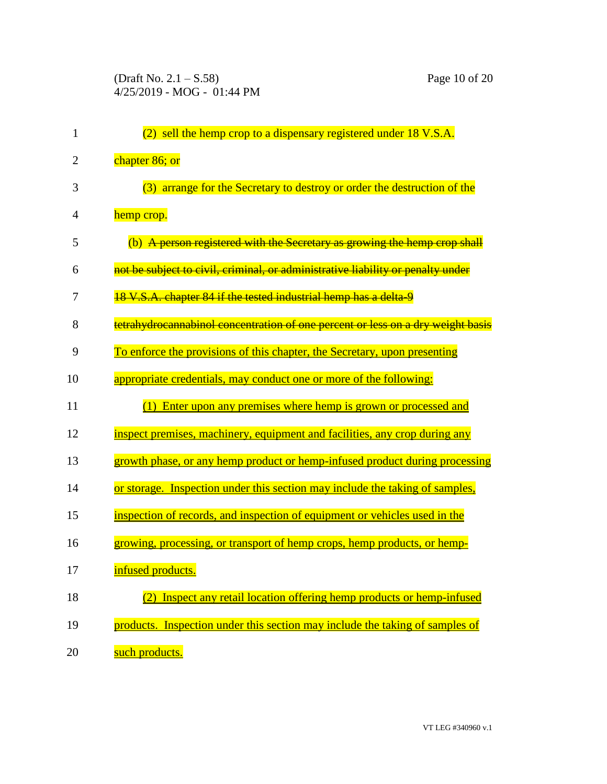| 1  | (2) sell the hemp crop to a dispensary registered under 18 V.S.A.               |
|----|---------------------------------------------------------------------------------|
| 2  | chapter 86; or                                                                  |
| 3  | (3) arrange for the Secretary to destroy or order the destruction of the        |
| 4  | hemp crop.                                                                      |
| 5  | (b) A person registered with the Secretary as growing the hemp crop shall       |
| 6  | not be subject to civil, criminal, or administrative liability or penalty under |
| 7  | 18 V.S.A. chapter 84 if the tested industrial hemp has a delta-9                |
| 8  | tetrahydrocannabinol concentration of one percent or less on a dry weight basis |
| 9  | To enforce the provisions of this chapter, the Secretary, upon presenting       |
| 10 | appropriate credentials, may conduct one or more of the following:              |
| 11 | (1) Enter upon any premises where hemp is grown or processed and                |
| 12 | inspect premises, machinery, equipment and facilities, any crop during any      |
| 13 | growth phase, or any hemp product or hemp-infused product during processing     |
| 14 | or storage. Inspection under this section may include the taking of samples,    |
| 15 | inspection of records, and inspection of equipment or vehicles used in the      |
| 16 | growing, processing, or transport of hemp crops, hemp products, or hemp-        |
| 17 | infused products.                                                               |
| 18 | Inspect any retail location offering hemp products or hemp-infused              |
| 19 | products. Inspection under this section may include the taking of samples of    |
| 20 | such products.                                                                  |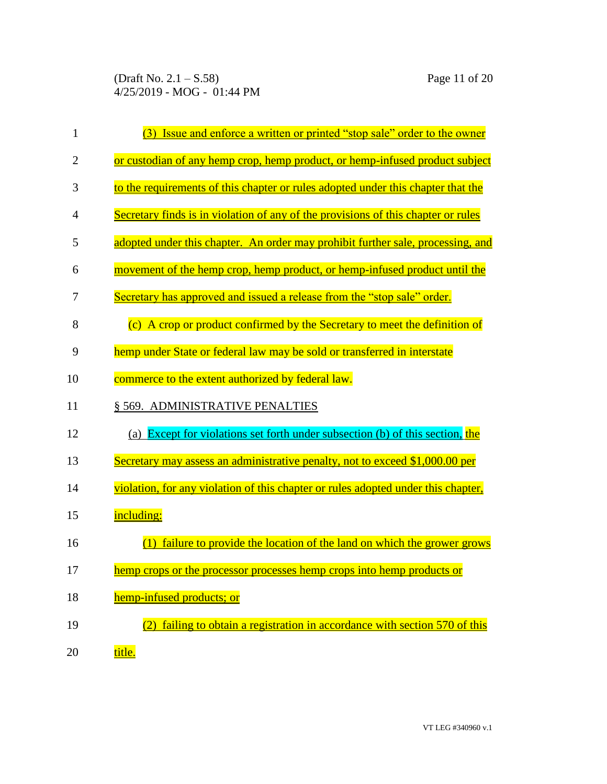| 1              | Issue and enforce a written or printed "stop sale" order to the owner             |
|----------------|-----------------------------------------------------------------------------------|
| $\overline{c}$ | or custodian of any hemp crop, hemp product, or hemp-infused product subject      |
| 3              | to the requirements of this chapter or rules adopted under this chapter that the  |
| 4              | Secretary finds is in violation of any of the provisions of this chapter or rules |
| 5              | adopted under this chapter. An order may prohibit further sale, processing, and   |
| 6              | movement of the hemp crop, hemp product, or hemp-infused product until the        |
| 7              | Secretary has approved and issued a release from the "stop sale" order.           |
| 8              | (c) A crop or product confirmed by the Secretary to meet the definition of        |
| 9              | hemp under State or federal law may be sold or transferred in interstate          |
| 10             | commerce to the extent authorized by federal law.                                 |
| 11             | § 569. ADMINISTRATIVE PENALTIES                                                   |
| 12             | (a) Except for violations set forth under subsection (b) of this section, the     |
| 13             | Secretary may assess an administrative penalty, not to exceed \$1,000.00 per      |
| 14             | violation, for any violation of this chapter or rules adopted under this chapter, |
| 15             | including:                                                                        |
| 16             | failure to provide the location of the land on which the grower grows             |
| 17             | <u>hemp crops or the processor processes hemp crops into hemp products or</u>     |
| 18             | hemp-infused products; or                                                         |
| 19             | failing to obtain a registration in accordance with section 570 of this<br>(2)    |
| 20             | title.                                                                            |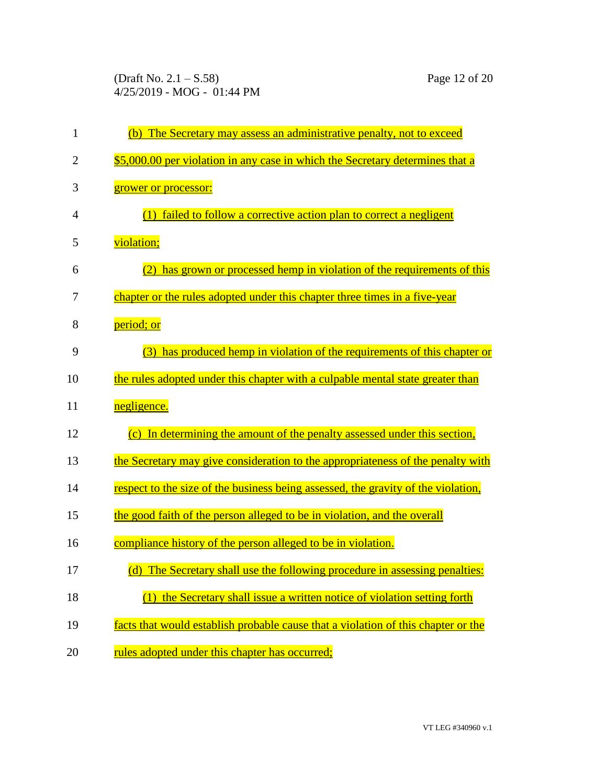(Draft No. 2.1 – S.58) Page 12 of 20 4/25/2019 - MOG - 01:44 PM

| 1              | (b) The Secretary may assess an administrative penalty, not to exceed             |
|----------------|-----------------------------------------------------------------------------------|
| $\overline{2}$ | \$5,000.00 per violation in any case in which the Secretary determines that a     |
| 3              | grower or processor:                                                              |
| 4              | (1) failed to follow a corrective action plan to correct a negligent              |
| 5              | violation;                                                                        |
| 6              | has grown or processed hemp in violation of the requirements of this<br>(2)       |
| 7              | chapter or the rules adopted under this chapter three times in a five-year        |
| 8              | period; or                                                                        |
| 9              | (3) has produced hemp in violation of the requirements of this chapter or         |
| 10             | the rules adopted under this chapter with a culpable mental state greater than    |
| 11             | negligence.                                                                       |
| 12             | (c) In determining the amount of the penalty assessed under this section,         |
| 13             | the Secretary may give consideration to the appropriateness of the penalty with   |
| 14             | respect to the size of the business being assessed, the gravity of the violation, |
| 15             | the good faith of the person alleged to be in violation, and the overall          |
| 16             | compliance history of the person alleged to be in violation.                      |
| 17             | (d) The Secretary shall use the following procedure in assessing penalties:       |
| 18             | the Secretary shall issue a written notice of violation setting forth<br>(1)      |
| 19             | facts that would establish probable cause that a violation of this chapter or the |
| 20             | rules adopted under this chapter has occurred;                                    |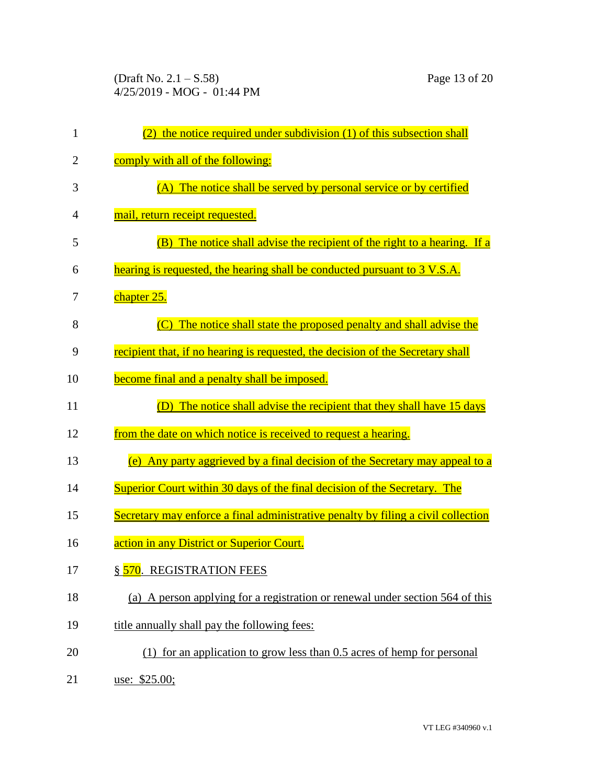(Draft No. 2.1 – S.58) Page 13 of 20 4/25/2019 - MOG - 01:44 PM

| $\mathbf{1}$   | the notice required under subdivision (1) of this subsection shall<br>(2)          |
|----------------|------------------------------------------------------------------------------------|
| $\overline{2}$ | comply with all of the following:                                                  |
| 3              | (A) The notice shall be served by personal service or by certified                 |
| 4              | mail, return receipt requested.                                                    |
| 5              | (B) The notice shall advise the recipient of the right to a hearing. If a          |
| 6              | hearing is requested, the hearing shall be conducted pursuant to 3 V.S.A.          |
| 7              | chapter 25.                                                                        |
| 8              | The notice shall state the proposed penalty and shall advise the<br>$\overline{C}$ |
| 9              | recipient that, if no hearing is requested, the decision of the Secretary shall    |
| 10             | become final and a penalty shall be imposed.                                       |
| 11             | The notice shall advise the recipient that they shall have 15 days<br>(D)          |
| 12             | from the date on which notice is received to request a hearing.                    |
| 13             | (e) Any party aggrieved by a final decision of the Secretary may appeal to a       |
| 14             | Superior Court within 30 days of the final decision of the Secretary. The          |
| 15             | Secretary may enforce a final administrative penalty by filing a civil collection  |
| 16             | action in any District or Superior Court.                                          |
| 17             | § 570. REGISTRATION FEES                                                           |
| 18             | (a) A person applying for a registration or renewal under section 564 of this      |
| 19             | title annually shall pay the following fees:                                       |
| 20             | (1) for an application to grow less than 0.5 acres of hemp for personal            |
| 21             | use: \$25.00;                                                                      |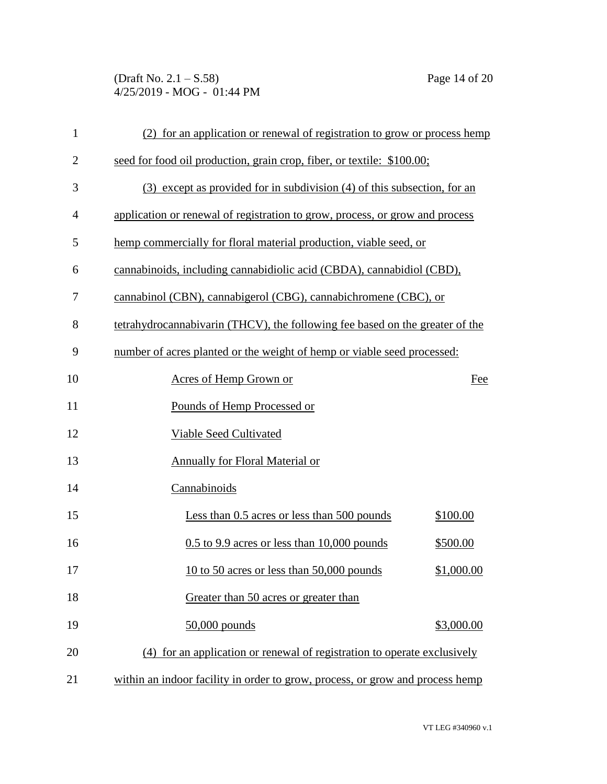(Draft No. 2.1 – S.58) Page 14 of 20 4/25/2019 - MOG - 01:44 PM

| $\mathbf{1}$   | (2) for an application or renewal of registration to grow or process hemp     |            |
|----------------|-------------------------------------------------------------------------------|------------|
| $\overline{2}$ | seed for food oil production, grain crop, fiber, or textile: \$100.00;        |            |
| 3              | (3) except as provided for in subdivision (4) of this subsection, for an      |            |
| 4              | application or renewal of registration to grow, process, or grow and process  |            |
| 5              | hemp commercially for floral material production, viable seed, or             |            |
| 6              | cannabinoids, including cannabidiolic acid (CBDA), cannabidiol (CBD),         |            |
| 7              | cannabinol (CBN), cannabigerol (CBG), cannabichromene (CBC), or               |            |
| 8              | tetrahydrocannabivarin (THCV), the following fee based on the greater of the  |            |
| 9              | number of acres planted or the weight of hemp or viable seed processed:       |            |
| 10             | Acres of Hemp Grown or                                                        | Fee        |
| 11             | Pounds of Hemp Processed or                                                   |            |
| 12             | <b>Viable Seed Cultivated</b>                                                 |            |
| 13             | Annually for Floral Material or                                               |            |
| 14             | Cannabinoids                                                                  |            |
| 15             | Less than 0.5 acres or less than 500 pounds                                   | \$100.00   |
| 16             | $0.5$ to 9.9 acres or less than 10,000 pounds                                 | \$500.00   |
| 17             | 10 to 50 acres or less than 50,000 pounds                                     | \$1,000.00 |
| 18             | Greater than 50 acres or greater than                                         |            |
| 19             | $50,000$ pounds                                                               | \$3,000.00 |
| 20             | (4) for an application or renewal of registration to operate exclusively      |            |
| 21             | within an indoor facility in order to grow, process, or grow and process hemp |            |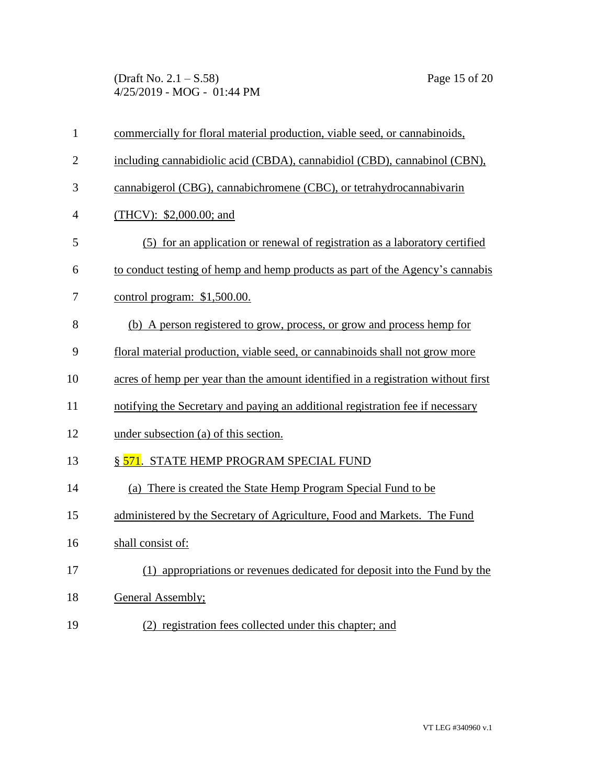(Draft No. 2.1 – S.58) Page 15 of 20 4/25/2019 - MOG - 01:44 PM

| $\mathbf{1}$   | commercially for floral material production, viable seed, or cannabinoids,        |
|----------------|-----------------------------------------------------------------------------------|
| $\overline{2}$ | including cannabidiolic acid (CBDA), cannabidiol (CBD), cannabinol (CBN),         |
| 3              | cannabigerol (CBG), cannabichromene (CBC), or tetrahydrocannabivarin              |
| $\overline{4}$ | (THCV): $$2,000.00$ ; and                                                         |
| 5              | (5) for an application or renewal of registration as a laboratory certified       |
| 6              | to conduct testing of hemp and hemp products as part of the Agency's cannabis     |
| 7              | control program: $$1,500.00$ .                                                    |
| 8              | (b) A person registered to grow, process, or grow and process hemp for            |
| 9              | floral material production, viable seed, or cannabinoids shall not grow more      |
| 10             | acres of hemp per year than the amount identified in a registration without first |
| 11             | notifying the Secretary and paying an additional registration fee if necessary    |
| 12             | under subsection (a) of this section.                                             |
| 13             | § 571. STATE HEMP PROGRAM SPECIAL FUND                                            |
| 14             | (a) There is created the State Hemp Program Special Fund to be                    |
| 15             | administered by the Secretary of Agriculture, Food and Markets. The Fund          |
| 16             | shall consist of:                                                                 |
| 17             | (1) appropriations or revenues dedicated for deposit into the Fund by the         |
| 18             | General Assembly;                                                                 |
| 19             | (2) registration fees collected under this chapter; and                           |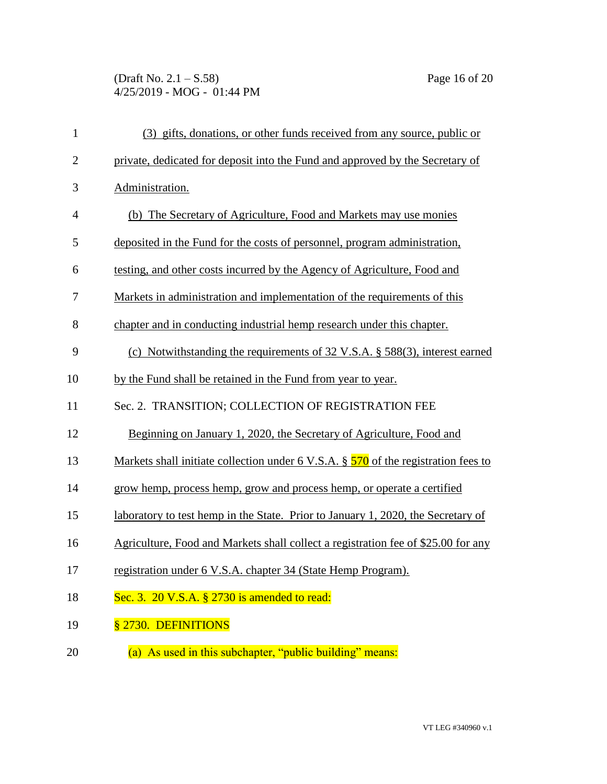## (Draft No. 2.1 – S.58) Page 16 of 20 4/25/2019 - MOG - 01:44 PM

| $\mathbf{1}$   | (3) gifts, donations, or other funds received from any source, public or                  |
|----------------|-------------------------------------------------------------------------------------------|
| $\overline{2}$ | private, dedicated for deposit into the Fund and approved by the Secretary of             |
| 3              | Administration.                                                                           |
| $\overline{4}$ | (b) The Secretary of Agriculture, Food and Markets may use monies                         |
| 5              | deposited in the Fund for the costs of personnel, program administration,                 |
| 6              | testing, and other costs incurred by the Agency of Agriculture, Food and                  |
| 7              | Markets in administration and implementation of the requirements of this                  |
| 8              | chapter and in conducting industrial hemp research under this chapter.                    |
| 9              | (c) Notwithstanding the requirements of $32 \text{ V.S.A.}$ \$ $588(3)$ , interest earned |
| 10             | by the Fund shall be retained in the Fund from year to year.                              |
| 11             | Sec. 2. TRANSITION; COLLECTION OF REGISTRATION FEE                                        |
| 12             | Beginning on January 1, 2020, the Secretary of Agriculture, Food and                      |
| 13             | Markets shall initiate collection under 6 V.S.A. $\S$ 570 of the registration fees to     |
| 14             | grow hemp, process hemp, grow and process hemp, or operate a certified                    |
| 15             | laboratory to test hemp in the State. Prior to January 1, 2020, the Secretary of          |
| 16             | Agriculture, Food and Markets shall collect a registration fee of \$25.00 for any         |
| 17             | registration under 6 V.S.A. chapter 34 (State Hemp Program).                              |
| 18             | Sec. 3. 20 V.S.A. § 2730 is amended to read:                                              |
| 19             | § 2730. DEFINITIONS                                                                       |
| 20             | (a) As used in this subchapter, "public building" means:                                  |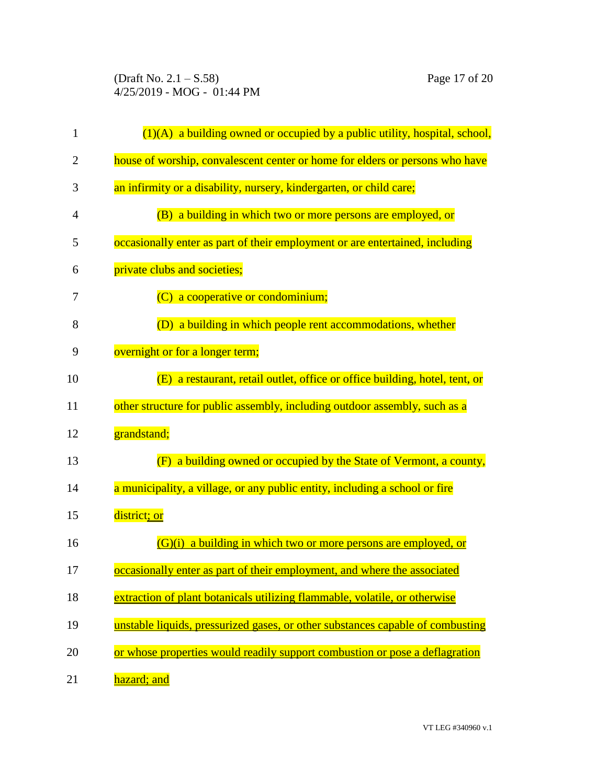(Draft No. 2.1 – S.58) Page 17 of 20 4/25/2019 - MOG - 01:44 PM

| 1              | $(1)(A)$ a building owned or occupied by a public utility, hospital, school,   |
|----------------|--------------------------------------------------------------------------------|
| $\overline{2}$ | house of worship, convalescent center or home for elders or persons who have   |
| 3              | an infirmity or a disability, nursery, kindergarten, or child care;            |
| 4              | (B) a building in which two or more persons are employed, or                   |
| 5              | occasionally enter as part of their employment or are entertained, including   |
| 6              | private clubs and societies;                                                   |
| 7              | (C) a cooperative or condominium;                                              |
| 8              | (D) a building in which people rent accommodations, whether                    |
| 9              | overnight or for a longer term;                                                |
| 10             | (E) a restaurant, retail outlet, office or office building, hotel, tent, or    |
| 11             | other structure for public assembly, including outdoor assembly, such as a     |
| 12             | grandstand;                                                                    |
| 13             | a building owned or occupied by the State of Vermont, a county,<br>(F)         |
| 14             | a municipality, a village, or any public entity, including a school or fire    |
| 15             | district; or                                                                   |
| 16             | $(G)(i)$ a building in which two or more persons are employed, or              |
| 17             | occasionally enter as part of their employment, and where the associated       |
| 18             | extraction of plant botanicals utilizing flammable, volatile, or otherwise     |
| 19             | unstable liquids, pressurized gases, or other substances capable of combusting |
| 20             | or whose properties would readily support combustion or pose a deflagration    |
| 21             | hazard; and                                                                    |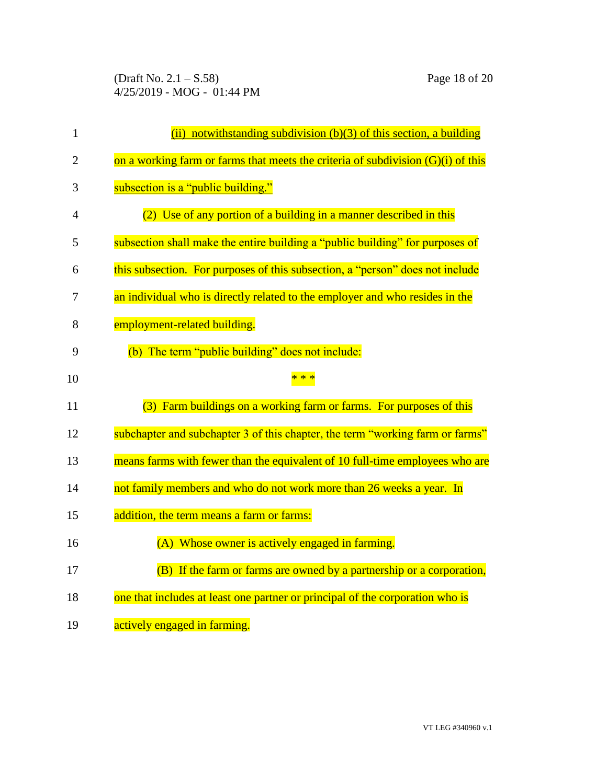(Draft No. 2.1 – S.58) Page 18 of 20 4/25/2019 - MOG - 01:44 PM

| $\mathbf{1}$   | (ii) notwithstanding subdivision $(b)(3)$ of this section, a building              |
|----------------|------------------------------------------------------------------------------------|
| $\overline{2}$ | on a working farm or farms that meets the criteria of subdivision $(G)(i)$ of this |
| 3              | subsection is a "public building."                                                 |
| 4              | (2) Use of any portion of a building in a manner described in this                 |
| 5              | subsection shall make the entire building a "public building" for purposes of      |
| 6              | this subsection. For purposes of this subsection, a "person" does not include      |
| 7              | an individual who is directly related to the employer and who resides in the       |
| 8              | employment-related building.                                                       |
| 9              | (b) The term "public building" does not include:                                   |
| 10             | * * *                                                                              |
| 11             | (3) Farm buildings on a working farm or farms. For purposes of this                |
| 12             | subchapter and subchapter 3 of this chapter, the term "working farm or farms"      |
| 13             | means farms with fewer than the equivalent of 10 full-time employees who are       |
| 14             | not family members and who do not work more than 26 weeks a year. In               |
| 15             | addition, the term means a farm or farms:                                          |
| 16             | (A) Whose owner is actively engaged in farming.                                    |
| 17             | (B) If the farm or farms are owned by a partnership or a corporation,              |
|                |                                                                                    |
| 18             | one that includes at least one partner or principal of the corporation who is      |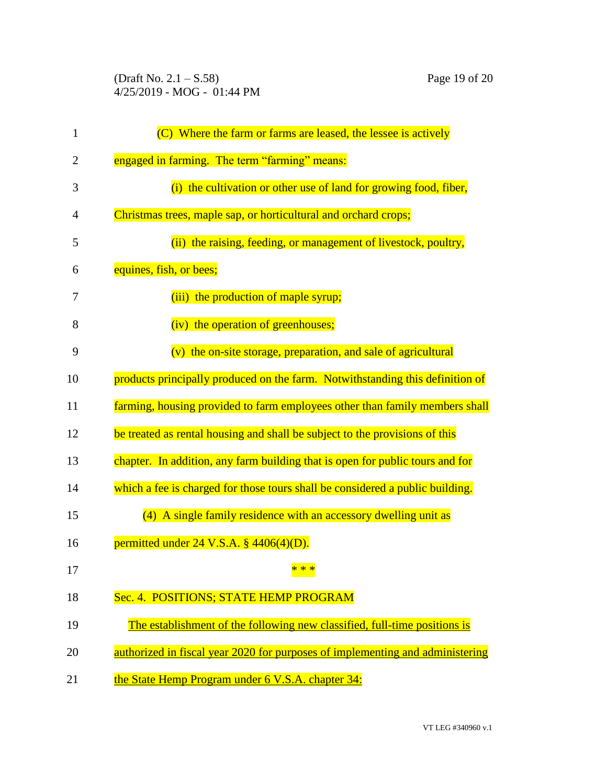(Draft No. 2.1 – S.58) Page 19 of 20 4/25/2019 - MOG - 01:44 PM

| $\mathbf{1}$   | (C) Where the farm or farms are leased, the lessee is actively                |
|----------------|-------------------------------------------------------------------------------|
| $\overline{2}$ | engaged in farming. The term "farming" means:                                 |
| 3              | (i) the cultivation or other use of land for growing food, fiber,             |
| 4              | Christmas trees, maple sap, or horticultural and orchard crops;               |
| 5              | (ii) the raising, feeding, or management of livestock, poultry,               |
| 6              | equines, fish, or bees;                                                       |
| 7              | (iii) the production of maple syrup;                                          |
| 8              | (iv) the operation of greenhouses;                                            |
| 9              | (v) the on-site storage, preparation, and sale of agricultural                |
| 10             | products principally produced on the farm. Notwithstanding this definition of |
| 11             | farming, housing provided to farm employees other than family members shall   |
| 12             | be treated as rental housing and shall be subject to the provisions of this   |
| 13             | chapter. In addition, any farm building that is open for public tours and for |
| 14             | which a fee is charged for those tours shall be considered a public building. |
| 15             | (4) A single family residence with an accessory dwelling unit as              |
| 16             | permitted under $24$ V.S.A. § $4406(4)(D)$ .                                  |
| 17             | * * *                                                                         |
| 18             | Sec. 4. POSITIONS; STATE HEMP PROGRAM                                         |
| 19             | The establishment of the following new classified, full-time positions is     |
| 20             | authorized in fiscal year 2020 for purposes of implementing and administering |
| 21             | the State Hemp Program under 6 V.S.A. chapter 34:                             |